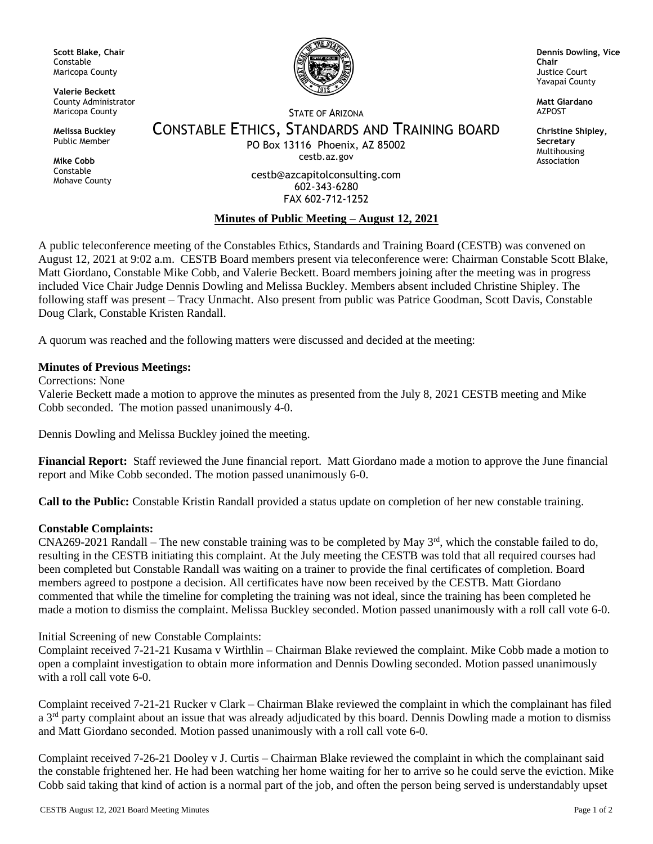**Scott Blake, Chair** Constable Maricopa County

**Valerie Beckett** County Administrator Maricopa County

**Melissa Buckley** Public Member

**Mike Cobb** Constable Mohave County



**Dennis Dowling, Vice Chair** Justice Court Yavapai County

**Matt Giardano AZPOST** 

**Christine Shipley, Secretary** Multihousing Association

STATE OF ARIZONA

CONSTABLE ETHICS, STANDARDS AND TRAINING BOARD PO Box 13116 Phoenix, AZ 85002

cestb.az.gov

cestb@azcapitolconsulting.com 602-343-6280 FAX 602-712-1252

# **Minutes of Public Meeting – August 12, 2021**

A public teleconference meeting of the Constables Ethics, Standards and Training Board (CESTB) was convened on August 12, 2021 at 9:02 a.m. CESTB Board members present via teleconference were: Chairman Constable Scott Blake, Matt Giordano, Constable Mike Cobb, and Valerie Beckett. Board members joining after the meeting was in progress included Vice Chair Judge Dennis Dowling and Melissa Buckley. Members absent included Christine Shipley. The following staff was present – Tracy Unmacht. Also present from public was Patrice Goodman, Scott Davis, Constable Doug Clark, Constable Kristen Randall.

A quorum was reached and the following matters were discussed and decided at the meeting:

## **Minutes of Previous Meetings:**

Corrections: None

Valerie Beckett made a motion to approve the minutes as presented from the July 8, 2021 CESTB meeting and Mike Cobb seconded. The motion passed unanimously 4-0.

Dennis Dowling and Melissa Buckley joined the meeting.

**Financial Report:** Staff reviewed the June financial report. Matt Giordano made a motion to approve the June financial report and Mike Cobb seconded. The motion passed unanimously 6-0.

**Call to the Public:** Constable Kristin Randall provided a status update on completion of her new constable training.

# **Constable Complaints:**

CNA269-2021 Randall – The new constable training was to be completed by May  $3<sup>rd</sup>$ , which the constable failed to do, resulting in the CESTB initiating this complaint. At the July meeting the CESTB was told that all required courses had been completed but Constable Randall was waiting on a trainer to provide the final certificates of completion. Board members agreed to postpone a decision. All certificates have now been received by the CESTB. Matt Giordano commented that while the timeline for completing the training was not ideal, since the training has been completed he made a motion to dismiss the complaint. Melissa Buckley seconded. Motion passed unanimously with a roll call vote 6-0.

### Initial Screening of new Constable Complaints:

Complaint received 7-21-21 Kusama v Wirthlin – Chairman Blake reviewed the complaint. Mike Cobb made a motion to open a complaint investigation to obtain more information and Dennis Dowling seconded. Motion passed unanimously with a roll call vote 6-0.

Complaint received 7-21-21 Rucker v Clark – Chairman Blake reviewed the complaint in which the complainant has filed a  $3<sup>rd</sup>$  party complaint about an issue that was already adjudicated by this board. Dennis Dowling made a motion to dismiss and Matt Giordano seconded. Motion passed unanimously with a roll call vote 6-0.

Complaint received 7-26-21 Dooley v J. Curtis – Chairman Blake reviewed the complaint in which the complainant said the constable frightened her. He had been watching her home waiting for her to arrive so he could serve the eviction. Mike Cobb said taking that kind of action is a normal part of the job, and often the person being served is understandably upset